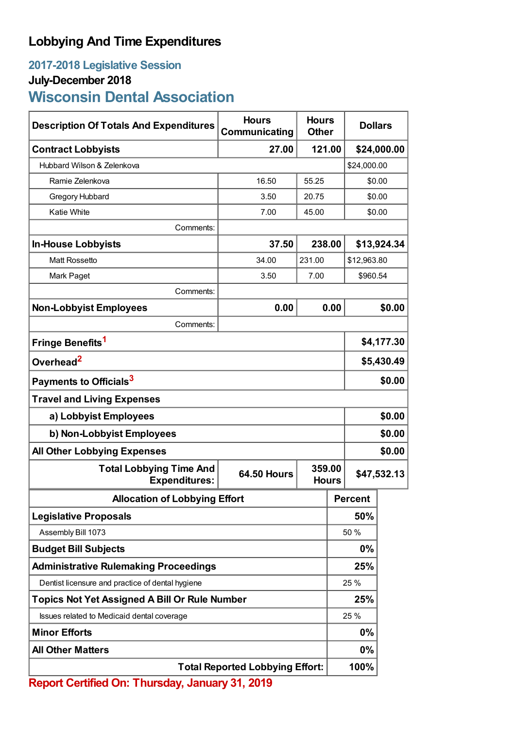## **Lobbying And Time Expenditures**

## **2017-2018 Legislative Session July-December 2018**

# **Wisconsin Dental Association**

| <b>Description Of Totals And Expenditures</b>          | <b>Hours</b><br>Communicating | <b>Hours</b><br><b>Other</b> | <b>Dollars</b> |             |  |
|--------------------------------------------------------|-------------------------------|------------------------------|----------------|-------------|--|
| <b>Contract Lobbyists</b>                              | 27.00                         | 121.00                       |                | \$24,000.00 |  |
| Hubbard Wilson & Zelenkova                             |                               | \$24,000.00                  |                |             |  |
| Ramie Zelenkova                                        | 16.50                         | 55.25                        |                | \$0.00      |  |
| Gregory Hubbard                                        | 3.50                          | 20.75                        |                | \$0.00      |  |
| <b>Katie White</b>                                     | 7.00                          | 45.00                        |                | \$0.00      |  |
| Comments:                                              |                               |                              |                |             |  |
| <b>In-House Lobbyists</b>                              | 37.50                         | 238.00                       |                | \$13,924.34 |  |
| <b>Matt Rossetto</b>                                   | 34.00                         | 231.00                       |                | \$12,963.80 |  |
| Mark Paget                                             | 3.50                          | 7.00                         |                | \$960.54    |  |
| Comments:                                              |                               |                              |                |             |  |
| <b>Non-Lobbyist Employees</b>                          | 0.00                          |                              | 0.00           | \$0.00      |  |
| Comments:                                              |                               |                              |                |             |  |
| Fringe Benefits <sup>1</sup>                           |                               |                              | \$4,177.30     |             |  |
| Overhead <sup>2</sup>                                  |                               |                              | \$5,430.49     |             |  |
| Payments to Officials <sup>3</sup>                     |                               |                              |                | \$0.00      |  |
| <b>Travel and Living Expenses</b>                      |                               |                              |                |             |  |
| a) Lobbyist Employees                                  |                               |                              |                | \$0.00      |  |
| b) Non-Lobbyist Employees                              |                               |                              |                | \$0.00      |  |
| <b>All Other Lobbying Expenses</b>                     |                               |                              |                | \$0.00      |  |
| <b>Total Lobbying Time And</b><br><b>Expenditures:</b> | <b>64.50 Hours</b>            | 359.00<br><b>Hours</b>       |                | \$47,532.13 |  |
| <b>Allocation of Lobbying Effort</b>                   |                               |                              | <b>Percent</b> |             |  |
| <b>Legislative Proposals</b>                           |                               |                              | 50%            |             |  |
| Assembly Bill 1073                                     |                               |                              | 50 %           |             |  |
| <b>Budget Bill Subjects</b>                            |                               |                              | 0%             |             |  |
| <b>Administrative Rulemaking Proceedings</b>           |                               |                              | 25%            |             |  |
| Dentist licensure and practice of dental hygiene       |                               |                              | 25 %           |             |  |
| <b>Topics Not Yet Assigned A Bill Or Rule Number</b>   |                               |                              | 25%            |             |  |
| Issues related to Medicaid dental coverage             |                               |                              | 25 %           |             |  |
| <b>Minor Efforts</b>                                   |                               |                              | 0%             |             |  |
| <b>All Other Matters</b>                               |                               |                              | 0%             |             |  |
| <b>Total Reported Lobbying Effort:</b>                 |                               |                              | 100%           |             |  |

**Report Certified On: Thursday, January 31, 2019**